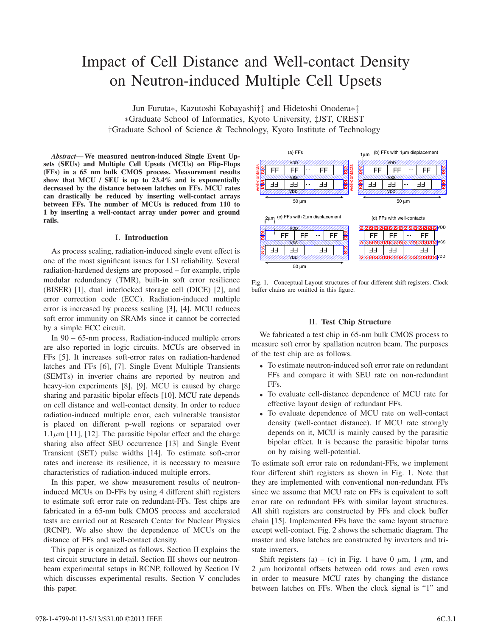# Impact of Cell Distance and Well-contact Density on Neutron-induced Multiple Cell Upsets

Jun Furuta∗, Kazutoshi Kobayashi†‡ and Hidetoshi Onodera∗‡ ∗Graduate School of Informatics, Kyoto University, ‡JST, CREST †Graduate School of Science & Technology, Kyoto Institute of Technology

*Abstract***—We measured neutron-induced Single Event Upsets (SEUs) and Multiple Cell Upsets (MCUs) on Flip-Flops (FFs) in a 65 nm bulk CMOS process. Measurement results show that MCU / SEU is up to 23.4% and is exponentially decreased by the distance between latches on FFs. MCU rates can drastically be reduced by inserting well-contact arrays between FFs. The number of MCUs is reduced from 110 to 1 by inserting a well-contact array under power and ground rails.**

### I. **Introduction**

As process scaling, radiation-induced single event effect is one of the most significant issues for LSI reliability. Several radiation-hardened designs are proposed – for example, triple modular redundancy (TMR), built-in soft error resilience (BISER) [1], dual interlocked storage cell (DICE) [2], and error correction code (ECC). Radiation-induced multiple error is increased by process scaling [3], [4]. MCU reduces soft error immunity on SRAMs since it cannot be corrected by a simple ECC circuit.

In 90 – 65-nm process, Radiation-induced multiple errors are also reported in logic circuits. MCUs are observed in FFs [5]. It increases soft-error rates on radiation-hardened latches and FFs [6], [7]. Single Event Multiple Transients (SEMTs) in inverter chains are reported by neutron and heavy-ion experiments [8], [9]. MCU is caused by charge sharing and parasitic bipolar effects [10]. MCU rate depends on cell distance and well-contact density. In order to reduce radiation-induced multiple error, each vulnerable transistor is placed on different p-well regions or separated over  $1.1\,\mu\text{m}$  [11], [12]. The parasitic bipolar effect and the charge sharing also affect SEU occurrence [13] and Single Event Transient (SET) pulse widths [14]. To estimate soft-error rates and increase its resilience, it is necessary to measure characteristics of radiation-induced multiple errors.

In this paper, we show measurement results of neutroninduced MCUs on D-FFs by using 4 different shift registers to estimate soft error rate on redundant-FFs. Test chips are fabricated in a 65-nm bulk CMOS process and accelerated tests are carried out at Research Center for Nuclear Physics (RCNP). We also show the dependence of MCUs on the distance of FFs and well-contact density.

This paper is organized as follows. Section II explains the test circuit structure in detail. Section III shows our neutronbeam experimental setups in RCNP, followed by Section IV which discusses experimental results. Section V concludes this paper.



Fig. 1. Conceptual Layout structures of four different shift registers. Clock buffer chains are omitted in this figure.

# II. **Test Chip Structure**

We fabricated a test chip in 65-nm bulk CMOS process to measure soft error by spallation neutron beam. The purposes of the test chip are as follows.

- *•* To estimate neutron-induced soft error rate on redundant FFs and compare it with SEU rate on non-redundant FFs.
- *•* To evaluate cell-distance dependence of MCU rate for effective layout design of redundant FFs.
- *•* To evaluate dependence of MCU rate on well-contact density (well-contact distance). If MCU rate strongly depends on it, MCU is mainly caused by the parasitic bipolar effect. It is because the parasitic bipolar turns on by raising well-potential.

To estimate soft error rate on redundant-FFs, we implement four different shift registers as shown in Fig. 1. Note that they are implemented with conventional non-redundant FFs since we assume that MCU rate on FFs is equivalent to soft error rate on redundant FFs with similar layout structures. All shift registers are constructed by FFs and clock buffer chain [15]. Implemented FFs have the same layout structure except well-contact. Fig. 2 shows the schematic diagram. The master and slave latches are constructed by inverters and tristate inverters.

Shift registers (a) – (c) in Fig. 1 have 0  $\mu$ m, 1  $\mu$ m, and 2 *µ*m horizontal offsets between odd rows and even rows in order to measure MCU rates by changing the distance between latches on FFs. When the clock signal is "1" and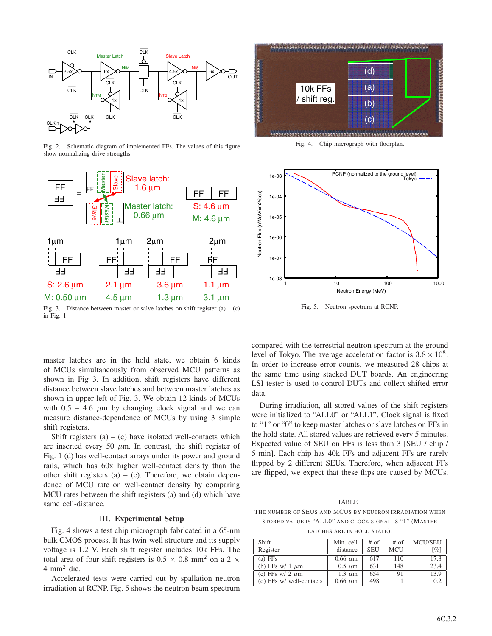

Fig. 2. Schematic diagram of implemented FFs. The values of this figure show normalizing drive strengths.



Fig. 3. Distance between master or salve latches on shift register  $(a) - (c)$ in Fig. 1.

master latches are in the hold state, we obtain 6 kinds of MCUs simultaneously from observed MCU patterns as shown in Fig 3. In addition, shift registers have different distance between slave latches and between master latches as shown in upper left of Fig. 3. We obtain 12 kinds of MCUs with  $0.5 - 4.6 \mu m$  by changing clock signal and we can measure distance-dependence of MCUs by using 3 simple shift registers.

Shift registers  $(a) - (c)$  have isolated well-contacts which are inserted every 50  $\mu$ m. In contrast, the shift register of Fig. 1 (d) has well-contact arrays under its power and ground rails, which has 60x higher well-contact density than the other shift registers  $(a) - (c)$ . Therefore, we obtain dependence of MCU rate on well-contact density by comparing MCU rates between the shift registers (a) and (d) which have same cell-distance.

# III. **Experimental Setup**

Fig. 4 shows a test chip micrograph fabricated in a 65-nm bulk CMOS process. It has twin-well structure and its supply voltage is 1.2 V. Each shift register includes 10k FFs. The total area of four shift registers is  $0.5 \times 0.8$  mm<sup>2</sup> on a 2  $\times$  $4 \text{ mm}^2$  die.

Accelerated tests were carried out by spallation neutron irradiation at RCNP. Fig. 5 shows the neutron beam spectrum



Fig. 4. Chip micrograph with floorplan.



Fig. 5. Neutron spectrum at RCNP.

compared with the terrestrial neutron spectrum at the ground level of Tokyo. The average acceleration factor is  $3.8 \times 10^8$ . In order to increase error counts, we measured 28 chips at the same time using stacked DUT boards. An engineering LSI tester is used to control DUTs and collect shifted error data.

During irradiation, all stored values of the shift registers were initialized to "ALL0" or "ALL1". Clock signal is fixed to "1" or "0" to keep master latches or slave latches on FFs in the hold state. All stored values are retrieved every 5 minutes. Expected value of SEU on FFs is less than 3 [SEU / chip / 5 min]. Each chip has 40k FFs and adjacent FFs are rarely flipped by 2 different SEUs. Therefore, when adjacent FFs are flipped, we expect that these flips are caused by MCUs.

TABLE I

THE NUMBER OF SEUS AND MCUS BY NEUTRON IRRADIATION WHEN STORED VALUE IS "ALL0" AND CLOCK SIGNAL IS "1" (MASTER

LATCHES ARE IN HOLD STATE).

| Shift                    | Min. cell    | $#$ of     | $#$ of     | <b>MCU/SEU</b> |
|--------------------------|--------------|------------|------------|----------------|
| Register                 | distance     | <b>SEU</b> | <b>MCU</b> | [%]            |
| $(a)$ FFs                | $0.66 \mu m$ | 617        | 110        | 17.8           |
| (b) FFs w/ 1 $\mu$ m     | $0.5 \mu m$  | 631        | 148        | 23.4           |
| (c) FFs w/ 2 $\mu$ m     | $1.3 \mu m$  | 654        | 91         | 13.9           |
| (d) FFs w/ well-contacts | $0.66 \mu m$ | 498        |            | 0.2            |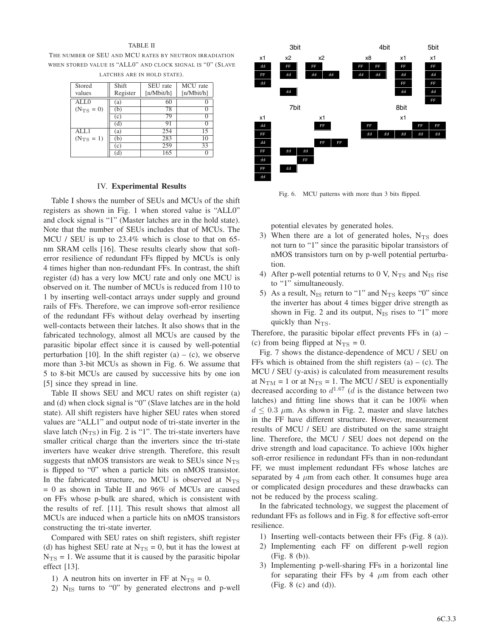## TABLE II

THE NUMBER OF SEU AND MCU RATES BY NEUTRON IRRADIATION WHEN STORED VALUE IS "ALL0" AND CLOCK SIGNAL IS "0" (SLAVE LATCHES ARE IN HOLD STATE).

| Stored<br>values      | Shift<br>Register | SEU rate<br>[n/Mbit/h] | MCU rate<br>[n/Mbit/h] |
|-----------------------|-------------------|------------------------|------------------------|
| ALL0                  | (a)               | 60                     |                        |
| $(N_{\text{TS}} = 0)$ | (b)<br>(c)        | 78<br>79               |                        |
|                       | (d)               | 91                     |                        |
| AIJ.1                 | (a)               | 254<br>283             | 15                     |
| $(N_{\rm TS} = 1)$    | (b)<br>(c)        | 259                    | 10<br>33               |
|                       |                   | 165                    |                        |

## IV. **Experimental Results**

Table I shows the number of SEUs and MCUs of the shift registers as shown in Fig. 1 when stored value is "ALL0" and clock signal is "1" (Master latches are in the hold state). Note that the number of SEUs includes that of MCUs. The MCU / SEU is up to 23.4% which is close to that on 65 nm SRAM cells [16]. These results clearly show that softerror resilience of redundant FFs flipped by MCUs is only 4 times higher than non-redundant FFs. In contrast, the shift register (d) has a very low MCU rate and only one MCU is observed on it. The number of MCUs is reduced from 110 to 1 by inserting well-contact arrays under supply and ground rails of FFs. Therefore, we can improve soft-error resilience of the redundant FFs without delay overhead by inserting well-contacts between their latches. It also shows that in the fabricated technology, almost all MCUs are caused by the parasitic bipolar effect since it is caused by well-potential perturbation [10]. In the shift register  $(a) - (c)$ , we observe more than 3-bit MCUs as shown in Fig. 6. We assume that 5 to 8-bit MCUs are caused by successive hits by one ion [5] since they spread in line.

Table II shows SEU and MCU rates on shift register (a) and (d) when clock signal is "0" (Slave latches are in the hold state). All shift registers have higher SEU rates when stored values are "ALL1" and output node of tri-state inverter in the slave latch  $(N_{TS})$  in Fig. 2 is "1". The tri-state inverters have smaller critical charge than the inverters since the tri-state inverters have weaker drive strength. Therefore, this result suggests that nMOS transistors are weak to SEUs since  $N_{\text{TS}}$ is flipped to "0" when a particle hits on nMOS transistor. In the fabricated structure, no MCU is observed at  $N_{\rm TS}$  $= 0$  as shown in Table II and 96% of MCUs are caused on FFs whose p-bulk are shared, which is consistent with the results of ref. [11]. This result shows that almost all MCUs are induced when a particle hits on nMOS transistors constructing the tri-state inverter.

Compared with SEU rates on shift registers, shift register (d) has highest SEU rate at  $N_{TS} = 0$ , but it has the lowest at  $N_{\text{TS}} = 1$ . We assume that it is caused by the parasitic bipolar effect [13].

- 1) A neutron hits on inverter in FF at  $N_{TS} = 0$ .
- 2)  $N_{IS}$  turns to "0" by generated electrons and p-well



Fig. 6. MCU patterns with more than 3 bits flipped.

potential elevates by generated holes.

- 3) When there are a lot of generated holes,  $N_{TS}$  does not turn to "1" since the parasitic bipolar transistors of nMOS transistors turn on by p-well potential perturbation.
- 4) After p-well potential returns to 0 V,  $N_{TS}$  and  $N_{IS}$  rise to "1" simultaneously.
- 5) As a result,  $N_{IS}$  return to "1" and  $N_{TS}$  keeps "0" since the inverter has about 4 times bigger drive strength as shown in Fig. 2 and its output,  $N_{IS}$  rises to "1" more quickly than  $N_{\text{TS}}$ .

Therefore, the parasitic bipolar effect prevents FFs in (a) – (c) from being flipped at  $N_{\text{TS}} = 0$ .

Fig. 7 shows the distance-dependence of MCU / SEU on FFs which is obtained from the shift registers  $(a) - (c)$ . The MCU / SEU (y-axis) is calculated from measurement results at  $N_{\text{TM}} = 1$  or at  $N_{\text{TS}} = 1$ . The MCU / SEU is exponentially decreased according to  $d^{1.67}$  (*d* is the distance between two latches) and fitting line shows that it can be 100% when  $d \leq 0.3$   $\mu$ m. As shown in Fig. 2, master and slave latches in the FF have different structure. However, measurement results of MCU / SEU are distributed on the same straight line. Therefore, the MCU / SEU does not depend on the drive strength and load capacitance. To achieve 100x higher soft-error resilience in redundant FFs than in non-redundant FF, we must implement redundant FFs whose latches are separated by 4  $\mu$ m from each other. It consumes huge area or complicated design procedures and these drawbacks can not be reduced by the process scaling.

In the fabricated technology, we suggest the placement of redundant FFs as follows and in Fig. 8 for effective soft-error resilience.

- 1) Inserting well-contacts between their FFs (Fig. 8 (a)).
- 2) Implementing each FF on different p-well region (Fig. 8 (b)).
- 3) Implementing p-well-sharing FFs in a horizontal line for separating their FFs by  $4 \mu m$  from each other (Fig. 8 (c) and (d)).